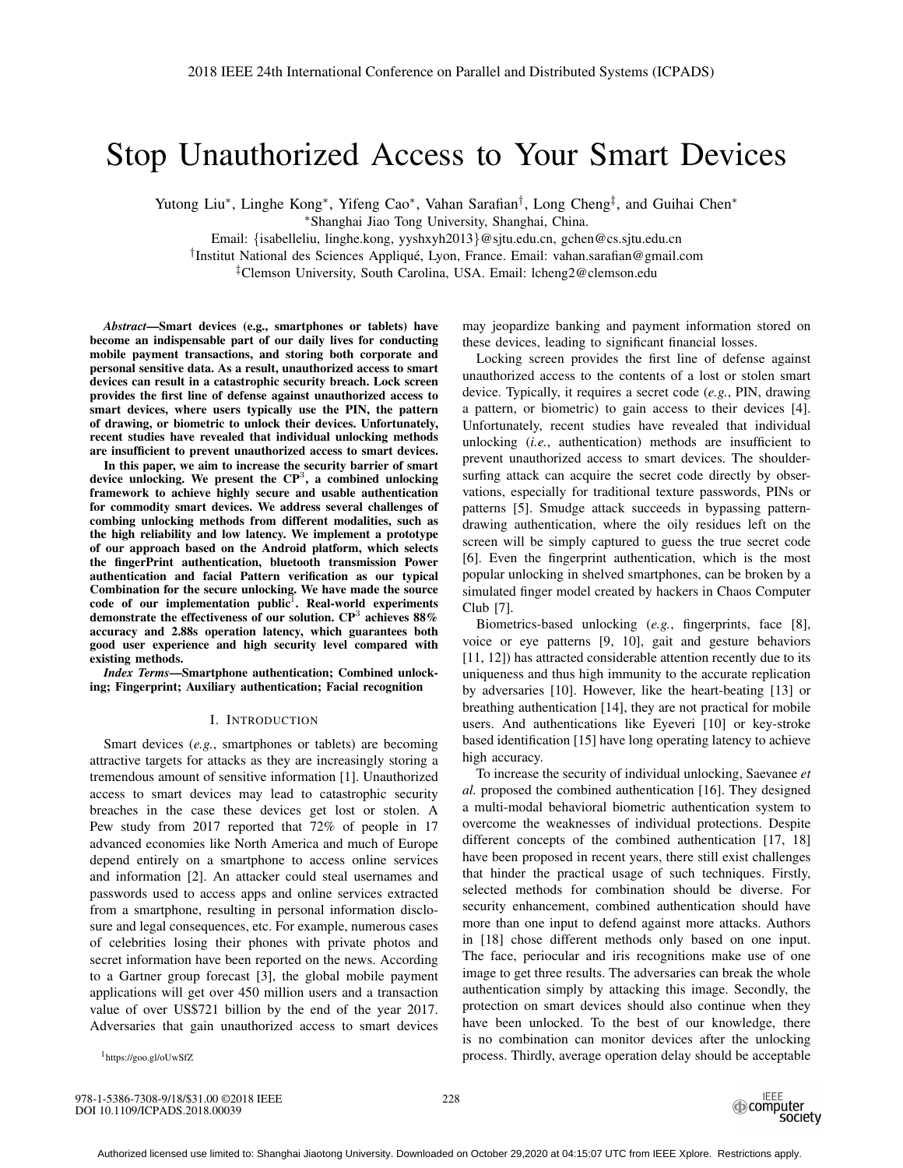# Stop Unauthorized Access to Your Smart Devices

Yutong Liu∗, Linghe Kong∗, Yifeng Cao∗, Vahan Sarafian†, Long Cheng‡, and Guihai Chen∗

∗Shanghai Jiao Tong University, Shanghai, China.

Email: {isabelleliu, linghe.kong, yyshxyh2013}@sjtu.edu.cn, gchen@cs.sjtu.edu.cn

†Institut National des Sciences Applique, Lyon, France. Email: vahan.sarafian@gmail.com ´

‡Clemson University, South Carolina, USA. Email: lcheng2@clemson.edu

*Abstract*—Smart devices (e.g., smartphones or tablets) have become an indispensable part of our daily lives for conducting mobile payment transactions, and storing both corporate and personal sensitive data. As a result, unauthorized access to smart devices can result in a catastrophic security breach. Lock screen provides the first line of defense against unauthorized access to smart devices, where users typically use the PIN, the pattern of drawing, or biometric to unlock their devices. Unfortunately, recent studies have revealed that individual unlocking methods are insufficient to prevent unauthorized access to smart devices.

In this paper, we aim to increase the security barrier of smart device unlocking. We present the  $\mathbb{CP}^3$ , a combined unlocking framework to achieve highly secure and usable authentication for commodity smart devices. We address several challenges of combing unlocking methods from different modalities, such as the high reliability and low latency. We implement a prototype of our approach based on the Android platform, which selects the fingerPrint authentication, bluetooth transmission Power authentication and facial Pattern verification as our typical Combination for the secure unlocking. We have made the source code of our implementation public<sup>1</sup>. Real-world experiments demonstrate the effectiveness of our solution.  $CP^3$  achieves  $88\%$ accuracy and 2.88s operation latency, which guarantees both good user experience and high security level compared with existing methods.

*Index Terms*—Smartphone authentication; Combined unlocking; Fingerprint; Auxiliary authentication; Facial recognition

#### I. INTRODUCTION

Smart devices (*e.g.*, smartphones or tablets) are becoming attractive targets for attacks as they are increasingly storing a tremendous amount of sensitive information [1]. Unauthorized access to smart devices may lead to catastrophic security breaches in the case these devices get lost or stolen. A Pew study from 2017 reported that 72% of people in 17 advanced economies like North America and much of Europe depend entirely on a smartphone to access online services and information [2]. An attacker could steal usernames and passwords used to access apps and online services extracted from a smartphone, resulting in personal information disclosure and legal consequences, etc. For example, numerous cases of celebrities losing their phones with private photos and secret information have been reported on the news. According to a Gartner group forecast [3], the global mobile payment applications will get over 450 million users and a transaction value of over US\$721 billion by the end of the year 2017. Adversaries that gain unauthorized access to smart devices

may jeopardize banking and payment information stored on these devices, leading to significant financial losses.

Locking screen provides the first line of defense against unauthorized access to the contents of a lost or stolen smart device. Typically, it requires a secret code (*e.g.*, PIN, drawing a pattern, or biometric) to gain access to their devices [4]. Unfortunately, recent studies have revealed that individual unlocking (*i.e.*, authentication) methods are insufficient to prevent unauthorized access to smart devices. The shouldersurfing attack can acquire the secret code directly by observations, especially for traditional texture passwords, PINs or patterns [5]. Smudge attack succeeds in bypassing patterndrawing authentication, where the oily residues left on the screen will be simply captured to guess the true secret code [6]. Even the fingerprint authentication, which is the most popular unlocking in shelved smartphones, can be broken by a simulated finger model created by hackers in Chaos Computer Club [7].

Biometrics-based unlocking (*e.g.*, fingerprints, face [8], voice or eye patterns [9, 10], gait and gesture behaviors [11, 12]) has attracted considerable attention recently due to its uniqueness and thus high immunity to the accurate replication by adversaries [10]. However, like the heart-beating [13] or breathing authentication [14], they are not practical for mobile users. And authentications like Eyeveri [10] or key-stroke based identification [15] have long operating latency to achieve high accuracy.

To increase the security of individual unlocking, Saevanee *et al.* proposed the combined authentication [16]. They designed a multi-modal behavioral biometric authentication system to overcome the weaknesses of individual protections. Despite different concepts of the combined authentication [17, 18] have been proposed in recent years, there still exist challenges that hinder the practical usage of such techniques. Firstly, selected methods for combination should be diverse. For security enhancement, combined authentication should have more than one input to defend against more attacks. Authors in [18] chose different methods only based on one input. The face, periocular and iris recognitions make use of one image to get three results. The adversaries can break the whole authentication simply by attacking this image. Secondly, the protection on smart devices should also continue when they have been unlocked. To the best of our knowledge, there is no combination can monitor devices after the unlocking process. Thirdly, average operation delay should be acceptable

1https://goo.gl/oUwSfZ

978-1-5386-7308-9/18/\$31.00 ©2018 IEEE DOI 10.1109/ICPADS.2018.00039

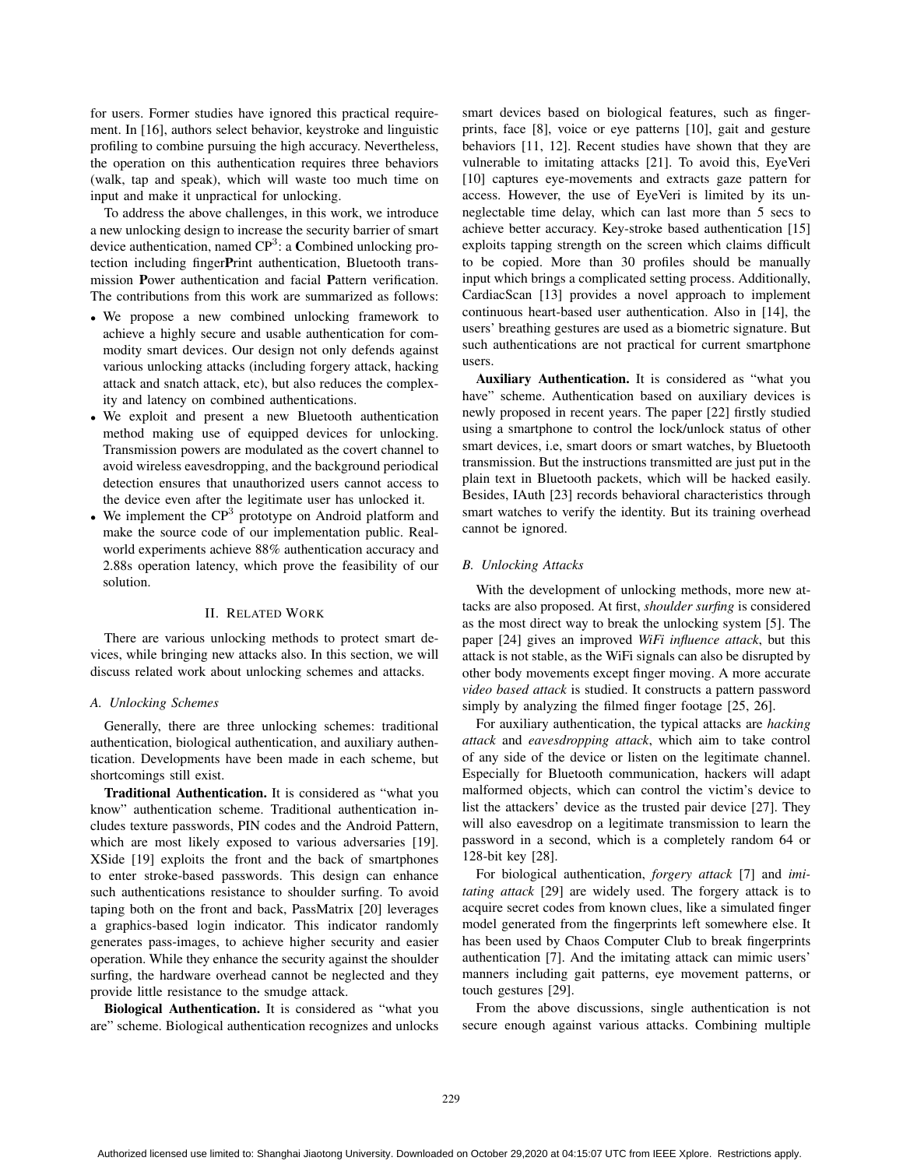for users. Former studies have ignored this practical requirement. In [16], authors select behavior, keystroke and linguistic profiling to combine pursuing the high accuracy. Nevertheless, the operation on this authentication requires three behaviors (walk, tap and speak), which will waste too much time on input and make it unpractical for unlocking.

To address the above challenges, in this work, we introduce a new unlocking design to increase the security barrier of smart device authentication, named  $\mathbb{CP}^3$ : a Combined unlocking protection including fingerPrint authentication, Bluetooth transmission Power authentication and facial Pattern verification. The contributions from this work are summarized as follows:

- We propose a new combined unlocking framework to achieve a highly secure and usable authentication for commodity smart devices. Our design not only defends against various unlocking attacks (including forgery attack, hacking attack and snatch attack, etc), but also reduces the complexity and latency on combined authentications.
- We exploit and present a new Bluetooth authentication method making use of equipped devices for unlocking. Transmission powers are modulated as the covert channel to avoid wireless eavesdropping, and the background periodical detection ensures that unauthorized users cannot access to the device even after the legitimate user has unlocked it.
- We implement the  $\mathbb{CP}^3$  prototype on Android platform and make the source code of our implementation public. Realworld experiments achieve 88% authentication accuracy and 2.88s operation latency, which prove the feasibility of our solution.

#### II. RELATED WORK

There are various unlocking methods to protect smart devices, while bringing new attacks also. In this section, we will discuss related work about unlocking schemes and attacks.

#### *A. Unlocking Schemes*

Generally, there are three unlocking schemes: traditional authentication, biological authentication, and auxiliary authentication. Developments have been made in each scheme, but shortcomings still exist.

Traditional Authentication. It is considered as "what you know" authentication scheme. Traditional authentication includes texture passwords, PIN codes and the Android Pattern, which are most likely exposed to various adversaries [19]. XSide [19] exploits the front and the back of smartphones to enter stroke-based passwords. This design can enhance such authentications resistance to shoulder surfing. To avoid taping both on the front and back, PassMatrix [20] leverages a graphics-based login indicator. This indicator randomly generates pass-images, to achieve higher security and easier operation. While they enhance the security against the shoulder surfing, the hardware overhead cannot be neglected and they provide little resistance to the smudge attack.

Biological Authentication. It is considered as "what you are" scheme. Biological authentication recognizes and unlocks

smart devices based on biological features, such as fingerprints, face [8], voice or eye patterns [10], gait and gesture behaviors [11, 12]. Recent studies have shown that they are vulnerable to imitating attacks [21]. To avoid this, EyeVeri [10] captures eye-movements and extracts gaze pattern for access. However, the use of EyeVeri is limited by its unneglectable time delay, which can last more than 5 secs to achieve better accuracy. Key-stroke based authentication [15] exploits tapping strength on the screen which claims difficult to be copied. More than 30 profiles should be manually input which brings a complicated setting process. Additionally, CardiacScan [13] provides a novel approach to implement continuous heart-based user authentication. Also in [14], the users' breathing gestures are used as a biometric signature. But such authentications are not practical for current smartphone users.

Auxiliary Authentication. It is considered as "what you have" scheme. Authentication based on auxiliary devices is newly proposed in recent years. The paper [22] firstly studied using a smartphone to control the lock/unlock status of other smart devices, i.e, smart doors or smart watches, by Bluetooth transmission. But the instructions transmitted are just put in the plain text in Bluetooth packets, which will be hacked easily. Besides, IAuth [23] records behavioral characteristics through smart watches to verify the identity. But its training overhead cannot be ignored.

#### *B. Unlocking Attacks*

With the development of unlocking methods, more new attacks are also proposed. At first, *shoulder surfing* is considered as the most direct way to break the unlocking system [5]. The paper [24] gives an improved *WiFi influence attack*, but this attack is not stable, as the WiFi signals can also be disrupted by other body movements except finger moving. A more accurate *video based attack* is studied. It constructs a pattern password simply by analyzing the filmed finger footage [25, 26].

For auxiliary authentication, the typical attacks are *hacking attack* and *eavesdropping attack*, which aim to take control of any side of the device or listen on the legitimate channel. Especially for Bluetooth communication, hackers will adapt malformed objects, which can control the victim's device to list the attackers' device as the trusted pair device [27]. They will also eavesdrop on a legitimate transmission to learn the password in a second, which is a completely random 64 or 128-bit key [28].

For biological authentication, *forgery attack* [7] and *imitating attack* [29] are widely used. The forgery attack is to acquire secret codes from known clues, like a simulated finger model generated from the fingerprints left somewhere else. It has been used by Chaos Computer Club to break fingerprints authentication [7]. And the imitating attack can mimic users' manners including gait patterns, eye movement patterns, or touch gestures [29].

From the above discussions, single authentication is not secure enough against various attacks. Combining multiple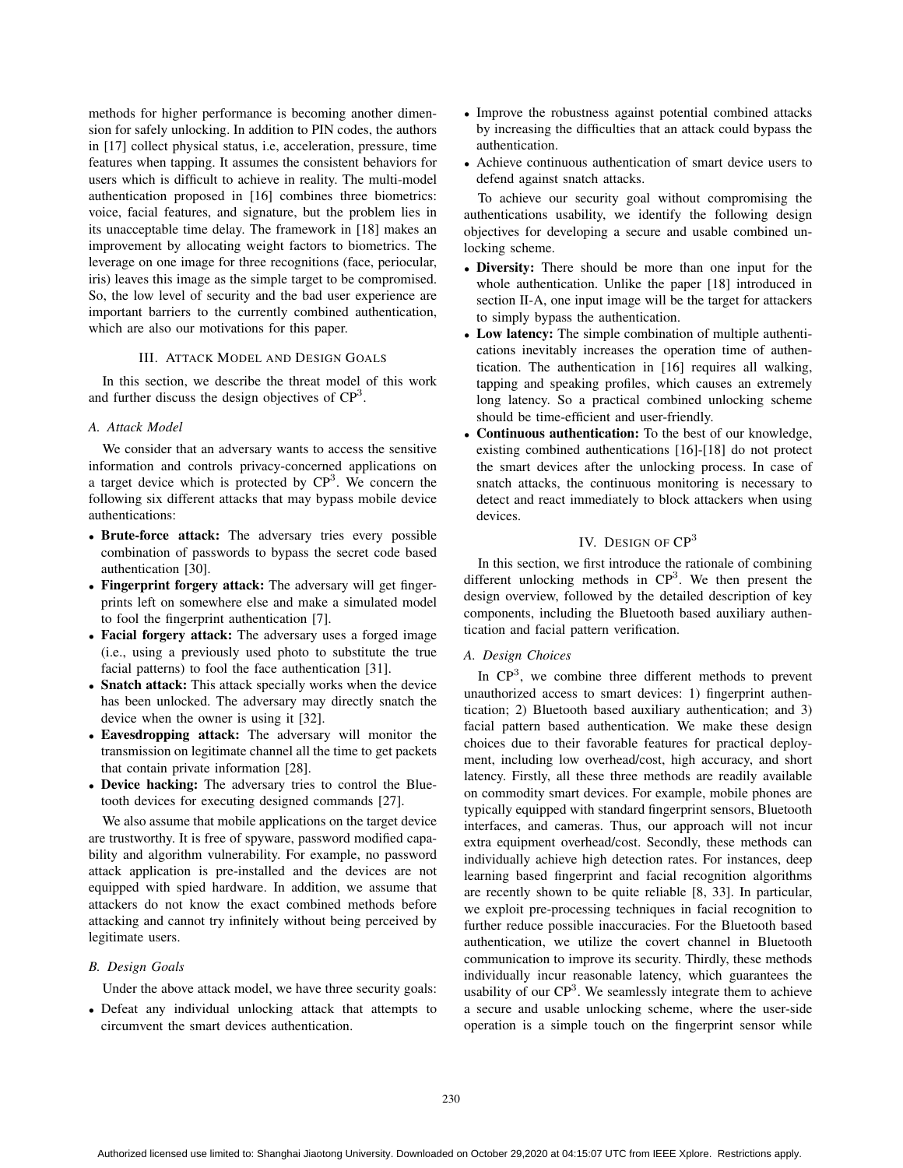methods for higher performance is becoming another dimension for safely unlocking. In addition to PIN codes, the authors in [17] collect physical status, i.e, acceleration, pressure, time features when tapping. It assumes the consistent behaviors for users which is difficult to achieve in reality. The multi-model authentication proposed in [16] combines three biometrics: voice, facial features, and signature, but the problem lies in its unacceptable time delay. The framework in [18] makes an improvement by allocating weight factors to biometrics. The leverage on one image for three recognitions (face, periocular, iris) leaves this image as the simple target to be compromised. So, the low level of security and the bad user experience are important barriers to the currently combined authentication, which are also our motivations for this paper.

## III. ATTACK MODEL AND DESIGN GOALS

In this section, we describe the threat model of this work and further discuss the design objectives of CP<sup>3</sup>.

# *A. Attack Model*

We consider that an adversary wants to access the sensitive information and controls privacy-concerned applications on a target device which is protected by  $\mathbb{CP}^3$ . We concern the following six different attacks that may bypass mobile device authentications:

- Brute-force attack: The adversary tries every possible combination of passwords to bypass the secret code based authentication [30].
- Fingerprint forgery attack: The adversary will get fingerprints left on somewhere else and make a simulated model to fool the fingerprint authentication [7].
- Facial forgery attack: The adversary uses a forged image (i.e., using a previously used photo to substitute the true facial patterns) to fool the face authentication [31].
- Snatch attack: This attack specially works when the device has been unlocked. The adversary may directly snatch the device when the owner is using it [32].
- Eavesdropping attack: The adversary will monitor the transmission on legitimate channel all the time to get packets that contain private information [28].
- Device hacking: The adversary tries to control the Bluetooth devices for executing designed commands [27].

We also assume that mobile applications on the target device are trustworthy. It is free of spyware, password modified capability and algorithm vulnerability. For example, no password attack application is pre-installed and the devices are not equipped with spied hardware. In addition, we assume that attackers do not know the exact combined methods before attacking and cannot try infinitely without being perceived by legitimate users.

## *B. Design Goals*

Under the above attack model, we have three security goals:

• Defeat any individual unlocking attack that attempts to circumvent the smart devices authentication.

- Improve the robustness against potential combined attacks by increasing the difficulties that an attack could bypass the authentication.
- Achieve continuous authentication of smart device users to defend against snatch attacks.

To achieve our security goal without compromising the authentications usability, we identify the following design objectives for developing a secure and usable combined unlocking scheme.

- Diversity: There should be more than one input for the whole authentication. Unlike the paper [18] introduced in section II-A, one input image will be the target for attackers to simply bypass the authentication.
- Low latency: The simple combination of multiple authentications inevitably increases the operation time of authentication. The authentication in [16] requires all walking, tapping and speaking profiles, which causes an extremely long latency. So a practical combined unlocking scheme should be time-efficient and user-friendly.
- Continuous authentication: To the best of our knowledge, existing combined authentications [16]-[18] do not protect the smart devices after the unlocking process. In case of snatch attacks, the continuous monitoring is necessary to detect and react immediately to block attackers when using devices.

## IV. DESIGN OF CP<sup>3</sup>

In this section, we first introduce the rationale of combining different unlocking methods in  $\mathbb{CP}^3$ . We then present the design overview, followed by the detailed description of key components, including the Bluetooth based auxiliary authentication and facial pattern verification.

## *A. Design Choices*

In  $\mathbb{CP}^3$ , we combine three different methods to prevent unauthorized access to smart devices: 1) fingerprint authentication; 2) Bluetooth based auxiliary authentication; and 3) facial pattern based authentication. We make these design choices due to their favorable features for practical deployment, including low overhead/cost, high accuracy, and short latency. Firstly, all these three methods are readily available on commodity smart devices. For example, mobile phones are typically equipped with standard fingerprint sensors, Bluetooth interfaces, and cameras. Thus, our approach will not incur extra equipment overhead/cost. Secondly, these methods can individually achieve high detection rates. For instances, deep learning based fingerprint and facial recognition algorithms are recently shown to be quite reliable [8, 33]. In particular, we exploit pre-processing techniques in facial recognition to further reduce possible inaccuracies. For the Bluetooth based authentication, we utilize the covert channel in Bluetooth communication to improve its security. Thirdly, these methods individually incur reasonable latency, which guarantees the usability of our  $\mathbb{CP}^3$ . We seamlessly integrate them to achieve a secure and usable unlocking scheme, where the user-side operation is a simple touch on the fingerprint sensor while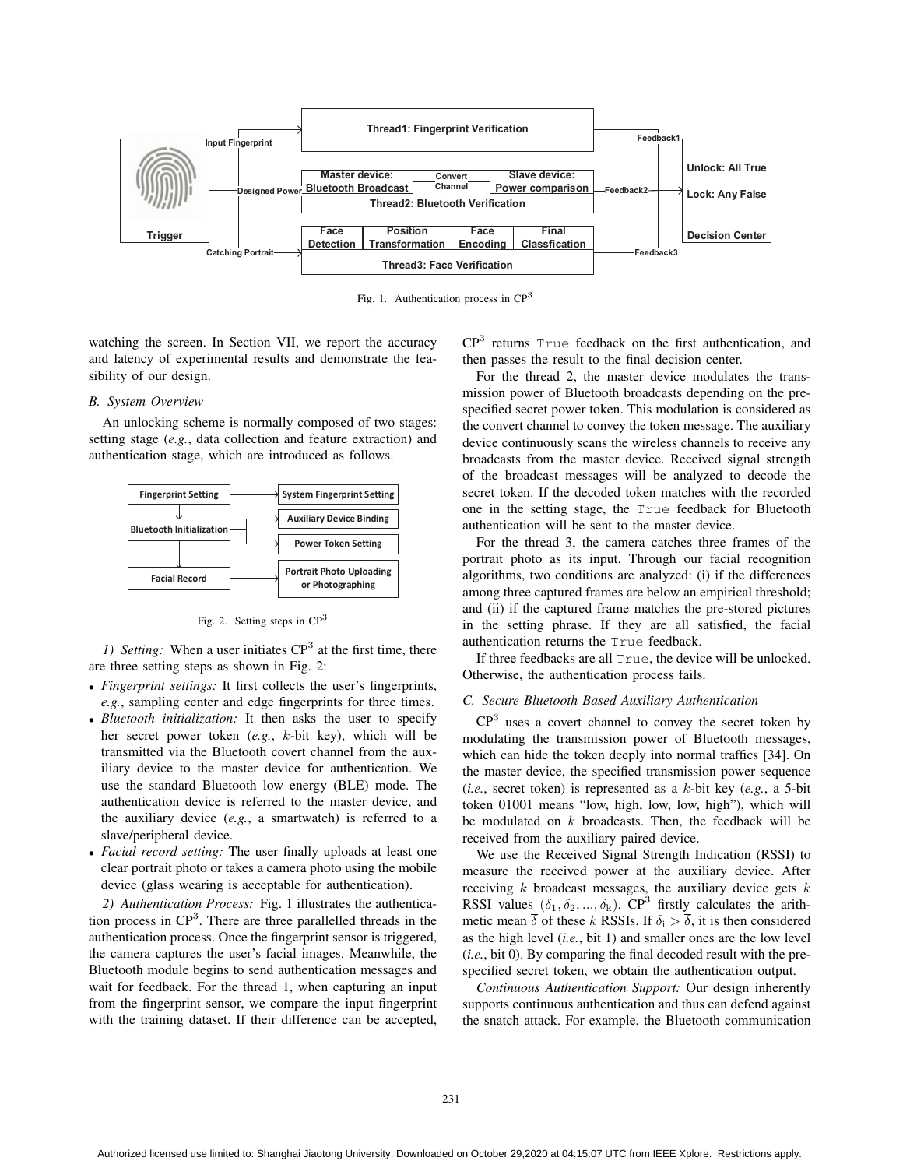

Fig. 1. Authentication process in CP<sup>3</sup>

watching the screen. In Section VII, we report the accuracy and latency of experimental results and demonstrate the feasibility of our design.

## *B. System Overview*

An unlocking scheme is normally composed of two stages: setting stage (*e.g.*, data collection and feature extraction) and authentication stage, which are introduced as follows.



Fig. 2. Setting steps in  $\mathbb{CP}^3$ 

*1) Setting:* When a user initiates  $CP<sup>3</sup>$  at the first time, there are three setting steps as shown in Fig. 2:

- *Fingerprint settings:* It first collects the user's fingerprints, *e.g.*, sampling center and edge fingerprints for three times.
- *Bluetooth initialization:* It then asks the user to specify her secret power token (*e.g.*, k-bit key), which will be transmitted via the Bluetooth covert channel from the auxiliary device to the master device for authentication. We use the standard Bluetooth low energy (BLE) mode. The authentication device is referred to the master device, and the auxiliary device (*e.g.*, a smartwatch) is referred to a slave/peripheral device.
- *Facial record setting:* The user finally uploads at least one clear portrait photo or takes a camera photo using the mobile device (glass wearing is acceptable for authentication).

*2) Authentication Process:* Fig. 1 illustrates the authentication process in  $CP<sup>3</sup>$ . There are three parallelled threads in the authentication process. Once the fingerprint sensor is triggered, the camera captures the user's facial images. Meanwhile, the Bluetooth module begins to send authentication messages and wait for feedback. For the thread 1, when capturing an input from the fingerprint sensor, we compare the input fingerprint with the training dataset. If their difference can be accepted,

CP<sup>3</sup> returns True feedback on the first authentication, and then passes the result to the final decision center.

For the thread 2, the master device modulates the transmission power of Bluetooth broadcasts depending on the prespecified secret power token. This modulation is considered as the convert channel to convey the token message. The auxiliary device continuously scans the wireless channels to receive any broadcasts from the master device. Received signal strength of the broadcast messages will be analyzed to decode the secret token. If the decoded token matches with the recorded one in the setting stage, the True feedback for Bluetooth authentication will be sent to the master device.

For the thread 3, the camera catches three frames of the portrait photo as its input. Through our facial recognition algorithms, two conditions are analyzed: (i) if the differences among three captured frames are below an empirical threshold; and (ii) if the captured frame matches the pre-stored pictures in the setting phrase. If they are all satisfied, the facial authentication returns the True feedback.

If three feedbacks are all True, the device will be unlocked. Otherwise, the authentication process fails.

#### *C. Secure Bluetooth Based Auxiliary Authentication*

 $CP<sup>3</sup>$  uses a covert channel to convey the secret token by modulating the transmission power of Bluetooth messages, which can hide the token deeply into normal traffics [34]. On the master device, the specified transmission power sequence (*i.e.*, secret token) is represented as a k-bit key (*e.g.*, a 5-bit token 01001 means "low, high, low, low, high"), which will be modulated on  $k$  broadcasts. Then, the feedback will be received from the auxiliary paired device.

We use the Received Signal Strength Indication (RSSI) to measure the received power at the auxiliary device. After receiving  $k$  broadcast messages, the auxiliary device gets  $k$ RSSI values  $(\delta_1, \delta_2, ..., \delta_k)$ . CP<sup>3</sup> firstly calculates the arithmetic mean  $\bar{\delta}$  of these k RSSIs. If  $\delta_i > \bar{\delta}$ , it is then considered as the high level (*i.e.*, bit 1) and smaller ones are the low level (*i.e.*, bit 0). By comparing the final decoded result with the prespecified secret token, we obtain the authentication output.

*Continuous Authentication Support:* Our design inherently supports continuous authentication and thus can defend against the snatch attack. For example, the Bluetooth communication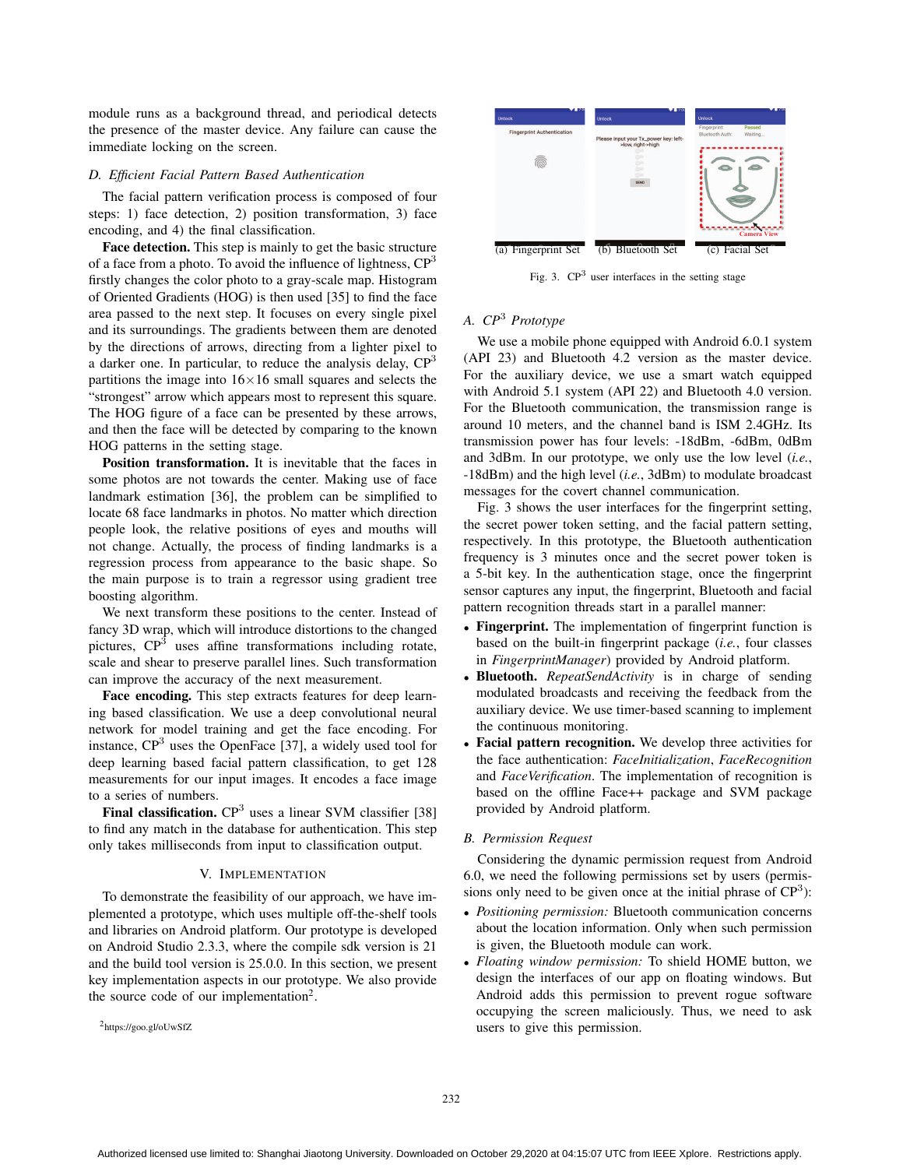module runs as a background thread, and periodical detects the presence of the master device. Any failure can cause the immediate locking on the screen.

## *D. Efficient Facial Pattern Based Authentication*

The facial pattern verification process is composed of four steps: 1) face detection, 2) position transformation, 3) face encoding, and 4) the final classification.

Face detection. This step is mainly to get the basic structure of a face from a photo. To avoid the influence of lightness,  $CP<sup>3</sup>$ firstly changes the color photo to a gray-scale map. Histogram of Oriented Gradients (HOG) is then used [35] to find the face area passed to the next step. It focuses on every single pixel and its surroundings. The gradients between them are denoted by the directions of arrows, directing from a lighter pixel to a darker one. In particular, to reduce the analysis delay,  $CP<sup>3</sup>$ partitions the image into  $16\times16$  small squares and selects the "strongest" arrow which appears most to represent this square. The HOG figure of a face can be presented by these arrows, and then the face will be detected by comparing to the known HOG patterns in the setting stage.

Position transformation. It is inevitable that the faces in some photos are not towards the center. Making use of face landmark estimation [36], the problem can be simplified to locate 68 face landmarks in photos. No matter which direction people look, the relative positions of eyes and mouths will not change. Actually, the process of finding landmarks is a regression process from appearance to the basic shape. So the main purpose is to train a regressor using gradient tree boosting algorithm.

We next transform these positions to the center. Instead of fancy 3D wrap, which will introduce distortions to the changed pictures,  $\mathbb{CP}^3$  uses affine transformations including rotate, scale and shear to preserve parallel lines. Such transformation can improve the accuracy of the next measurement.

Face encoding. This step extracts features for deep learning based classification. We use a deep convolutional neural network for model training and get the face encoding. For instance,  $CP<sup>3</sup>$  uses the OpenFace [37], a widely used tool for deep learning based facial pattern classification, to get 128 measurements for our input images. It encodes a face image to a series of numbers.

Final classification.  $CP<sup>3</sup>$  uses a linear SVM classifier [38] to find any match in the database for authentication. This step only takes milliseconds from input to classification output.

## V. IMPLEMENTATION

To demonstrate the feasibility of our approach, we have implemented a prototype, which uses multiple off-the-shelf tools and libraries on Android platform. Our prototype is developed on Android Studio 2.3.3, where the compile sdk version is 21 and the build tool version is 25.0.0. In this section, we present key implementation aspects in our prototype. We also provide the source code of our implementation<sup>2</sup>.

2https://goo.gl/oUwSfZ



Fig. 3. CP<sup>3</sup> user interfaces in the setting stage

# *A. CP*<sup>3</sup> *Prototype*

We use a mobile phone equipped with Android 6.0.1 system (API 23) and Bluetooth 4.2 version as the master device. For the auxiliary device, we use a smart watch equipped with Android 5.1 system (API 22) and Bluetooth 4.0 version. For the Bluetooth communication, the transmission range is around 10 meters, and the channel band is ISM 2.4GHz. Its transmission power has four levels: -18dBm, -6dBm, 0dBm and 3dBm. In our prototype, we only use the low level (*i.e.*, -18dBm) and the high level (*i.e.*, 3dBm) to modulate broadcast messages for the covert channel communication.

Fig. 3 shows the user interfaces for the fingerprint setting, the secret power token setting, and the facial pattern setting, respectively. In this prototype, the Bluetooth authentication frequency is 3 minutes once and the secret power token is a 5-bit key. In the authentication stage, once the fingerprint sensor captures any input, the fingerprint, Bluetooth and facial pattern recognition threads start in a parallel manner:

- Fingerprint. The implementation of fingerprint function is based on the built-in fingerprint package (*i.e.*, four classes in *FingerprintManager*) provided by Android platform.
- Bluetooth. *RepeatSendActivity* is in charge of sending modulated broadcasts and receiving the feedback from the auxiliary device. We use timer-based scanning to implement the continuous monitoring.
- Facial pattern recognition. We develop three activities for the face authentication: *FaceInitialization*, *FaceRecognition* and *FaceVerification*. The implementation of recognition is based on the offline Face++ package and SVM package provided by Android platform.

## *B. Permission Request*

Considering the dynamic permission request from Android 6.0, we need the following permissions set by users (permissions only need to be given once at the initial phrase of  $CP<sup>3</sup>$ :

- *Positioning permission:* Bluetooth communication concerns about the location information. Only when such permission is given, the Bluetooth module can work.
- *Floating window permission:* To shield HOME button, we design the interfaces of our app on floating windows. But Android adds this permission to prevent rogue software occupying the screen maliciously. Thus, we need to ask users to give this permission.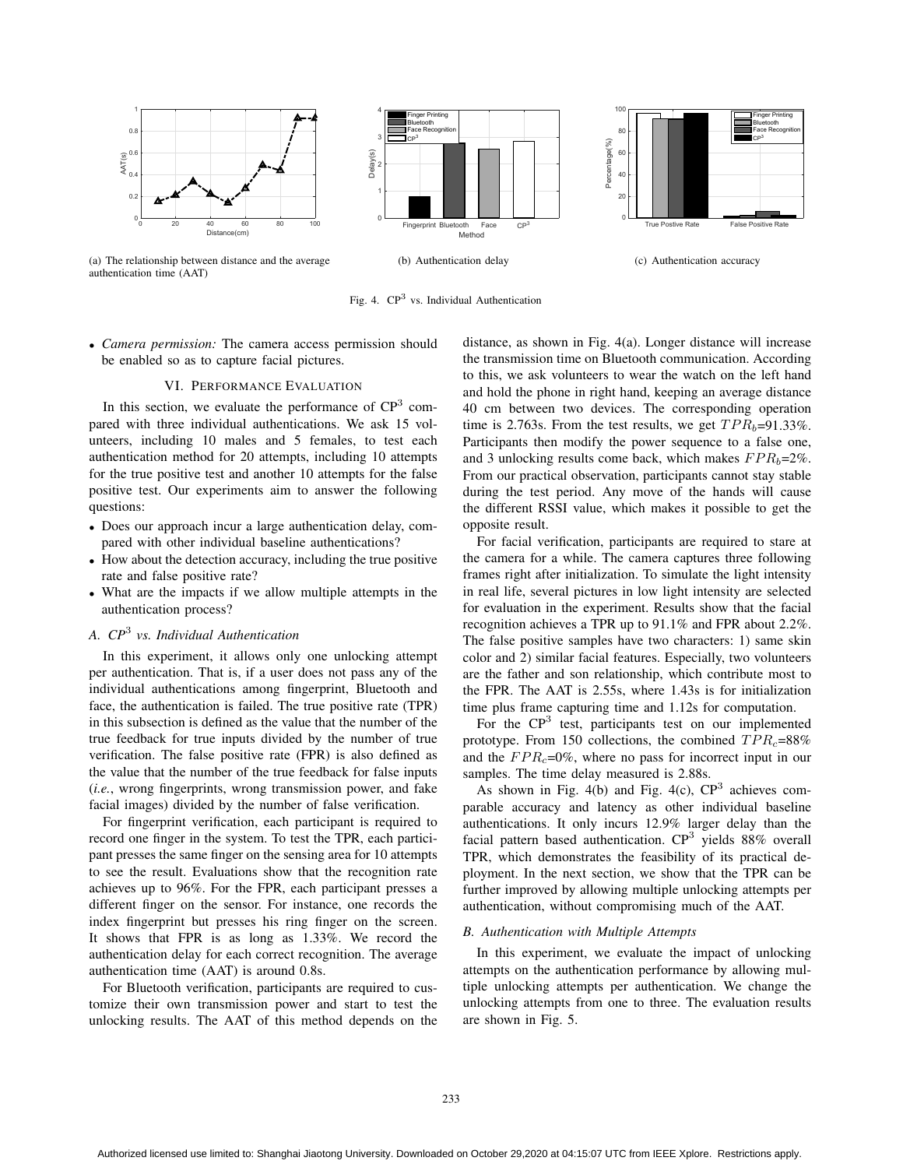

(a) The relationship between distance and the average authentication time (AAT)

Fig. 4. CP<sup>3</sup> vs. Individual Authentication

• *Camera permission:* The camera access permission should be enabled so as to capture facial pictures.

## VI. PERFORMANCE EVALUATION

In this section, we evaluate the performance of  $CP<sup>3</sup>$  compared with three individual authentications. We ask 15 volunteers, including 10 males and 5 females, to test each authentication method for 20 attempts, including 10 attempts for the true positive test and another 10 attempts for the false positive test. Our experiments aim to answer the following questions:

- Does our approach incur a large authentication delay, compared with other individual baseline authentications?
- How about the detection accuracy, including the true positive rate and false positive rate?
- What are the impacts if we allow multiple attempts in the authentication process?

# *A. CP*<sup>3</sup> *vs. Individual Authentication*

In this experiment, it allows only one unlocking attempt per authentication. That is, if a user does not pass any of the individual authentications among fingerprint, Bluetooth and face, the authentication is failed. The true positive rate (TPR) in this subsection is defined as the value that the number of the true feedback for true inputs divided by the number of true verification. The false positive rate (FPR) is also defined as the value that the number of the true feedback for false inputs (*i.e.*, wrong fingerprints, wrong transmission power, and fake facial images) divided by the number of false verification.

For fingerprint verification, each participant is required to record one finger in the system. To test the TPR, each participant presses the same finger on the sensing area for 10 attempts to see the result. Evaluations show that the recognition rate achieves up to 96%. For the FPR, each participant presses a different finger on the sensor. For instance, one records the index fingerprint but presses his ring finger on the screen. It shows that FPR is as long as 1.33%. We record the authentication delay for each correct recognition. The average authentication time (AAT) is around 0.8s.

For Bluetooth verification, participants are required to customize their own transmission power and start to test the unlocking results. The AAT of this method depends on the distance, as shown in Fig. 4(a). Longer distance will increase the transmission time on Bluetooth communication. According to this, we ask volunteers to wear the watch on the left hand and hold the phone in right hand, keeping an average distance 40 cm between two devices. The corresponding operation time is 2.763s. From the test results, we get  $TPR_b=91.33\%$ . Participants then modify the power sequence to a false one, and 3 unlocking results come back, which makes  $FPR_b=2\%$ . From our practical observation, participants cannot stay stable during the test period. Any move of the hands will cause the different RSSI value, which makes it possible to get the opposite result.

For facial verification, participants are required to stare at the camera for a while. The camera captures three following frames right after initialization. To simulate the light intensity in real life, several pictures in low light intensity are selected for evaluation in the experiment. Results show that the facial recognition achieves a TPR up to 91.1% and FPR about 2.2%. The false positive samples have two characters: 1) same skin color and 2) similar facial features. Especially, two volunteers are the father and son relationship, which contribute most to the FPR. The AAT is 2.55s, where 1.43s is for initialization time plus frame capturing time and 1.12s for computation.

For the  $\mathbb{CP}^3$  test, participants test on our implemented prototype. From 150 collections, the combined  $TPR<sub>c</sub>=88%$ and the  $FPR<sub>c</sub>=0\%$ , where no pass for incorrect input in our samples. The time delay measured is 2.88s.

As shown in Fig. 4(b) and Fig. 4(c),  $CP<sup>3</sup>$  achieves comparable accuracy and latency as other individual baseline authentications. It only incurs 12.9% larger delay than the facial pattern based authentication.  $CP<sup>3</sup>$  yields 88% overall TPR, which demonstrates the feasibility of its practical deployment. In the next section, we show that the TPR can be further improved by allowing multiple unlocking attempts per authentication, without compromising much of the AAT.

#### *B. Authentication with Multiple Attempts*

In this experiment, we evaluate the impact of unlocking attempts on the authentication performance by allowing multiple unlocking attempts per authentication. We change the unlocking attempts from one to three. The evaluation results are shown in Fig. 5.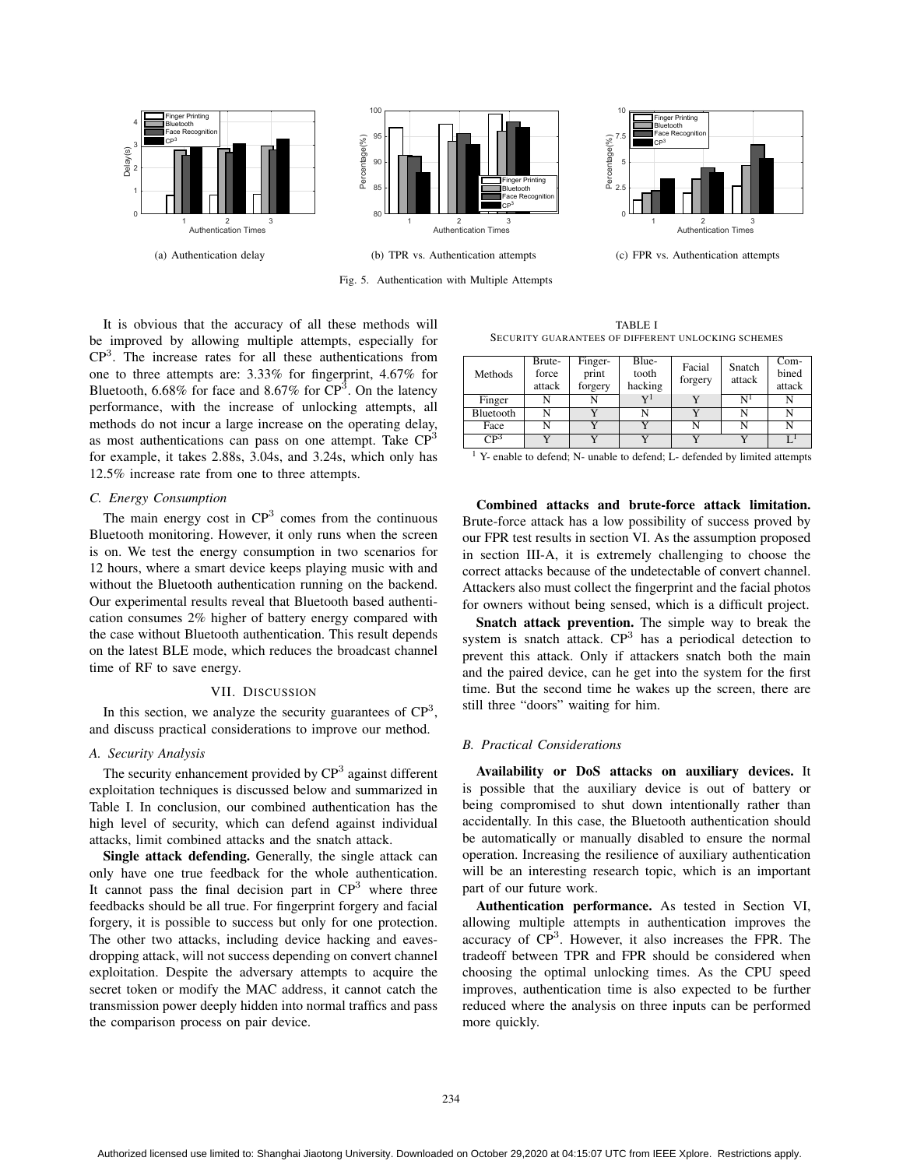

Fig. 5. Authentication with Multiple Attempts

TABLE I SECURITY GUARANTEES OF DIFFERENT UNLOCKING SCHEMES

It is obvious that the accuracy of all these methods will be improved by allowing multiple attempts, especially for CP<sup>3</sup>. The increase rates for all these authentications from one to three attempts are: 3.33% for fingerprint, 4.67% for Bluetooth,  $6.68\%$  for face and  $8.67\%$  for  $CP^3$ . On the latency performance, with the increase of unlocking attempts, all methods do not incur a large increase on the operating delay, as most authentications can pass on one attempt. Take  $\mathbb{CP}^3$ for example, it takes 2.88s, 3.04s, and 3.24s, which only has 12.5% increase rate from one to three attempts.

## *C. Energy Consumption*

The main energy cost in  $CP<sup>3</sup>$  comes from the continuous Bluetooth monitoring. However, it only runs when the screen is on. We test the energy consumption in two scenarios for 12 hours, where a smart device keeps playing music with and without the Bluetooth authentication running on the backend. Our experimental results reveal that Bluetooth based authentication consumes 2% higher of battery energy compared with the case without Bluetooth authentication. This result depends on the latest BLE mode, which reduces the broadcast channel time of RF to save energy.

#### VII. DISCUSSION

In this section, we analyze the security guarantees of  $\mathbb{CP}^3$ , and discuss practical considerations to improve our method.

# *A. Security Analysis*

The security enhancement provided by  $\mathbb{CP}^3$  against different exploitation techniques is discussed below and summarized in Table I. In conclusion, our combined authentication has the high level of security, which can defend against individual attacks, limit combined attacks and the snatch attack.

Single attack defending. Generally, the single attack can only have one true feedback for the whole authentication. It cannot pass the final decision part in  $\mathbb{CP}^3$  where three feedbacks should be all true. For fingerprint forgery and facial forgery, it is possible to success but only for one protection. The other two attacks, including device hacking and eavesdropping attack, will not success depending on convert channel exploitation. Despite the adversary attempts to acquire the secret token or modify the MAC address, it cannot catch the transmission power deeply hidden into normal traffics and pass the comparison process on pair device.

Methods **Brute**force attack Fingerprint forgery Bluetooth hacking Facial forgery Snatch attack Combined attack Finger N N N  $Y^1$  Y N<sup>1</sup> N Bluetooth N Y N Y N N<br>Face N Y Y N N N Face N Y Y N N N  $\overline{\text{CP}^3}$  Y Y Y Y Y Y L<sup>1</sup>

<sup>1</sup> Y- enable to defend; N- unable to defend; L- defended by limited attempts

Combined attacks and brute-force attack limitation. Brute-force attack has a low possibility of success proved by our FPR test results in section VI. As the assumption proposed in section III-A, it is extremely challenging to choose the correct attacks because of the undetectable of convert channel. Attackers also must collect the fingerprint and the facial photos for owners without being sensed, which is a difficult project.

Snatch attack prevention. The simple way to break the system is snatch attack.  $CP<sup>3</sup>$  has a periodical detection to prevent this attack. Only if attackers snatch both the main and the paired device, can he get into the system for the first time. But the second time he wakes up the screen, there are still three "doors" waiting for him.

## *B. Practical Considerations*

Availability or DoS attacks on auxiliary devices. It is possible that the auxiliary device is out of battery or being compromised to shut down intentionally rather than accidentally. In this case, the Bluetooth authentication should be automatically or manually disabled to ensure the normal operation. Increasing the resilience of auxiliary authentication will be an interesting research topic, which is an important part of our future work.

Authentication performance. As tested in Section VI, allowing multiple attempts in authentication improves the accuracy of  $\mathbb{CP}^3$ . However, it also increases the FPR. The tradeoff between TPR and FPR should be considered when choosing the optimal unlocking times. As the CPU speed improves, authentication time is also expected to be further reduced where the analysis on three inputs can be performed more quickly.